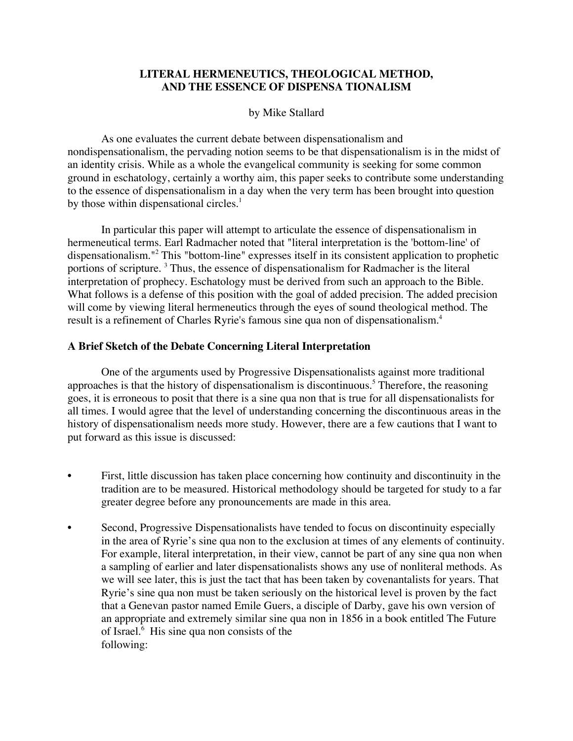## **LITERAL HERMENEUTICS, THEOLOGICAL METHOD, AND THE ESSENCE OF DISPENSA TIONALISM**

### by Mike Stallard

As one evaluates the current debate between dispensationalism and nondispensationalism, the pervading notion seems to be that dispensationalism is in the midst of an identity crisis. While as a whole the evangelical community is seeking for some common ground in eschatology, certainly a worthy aim, this paper seeks to contribute some understanding to the essence of dispensationalism in a day when the very term has been brought into question by those within dispensational circles.<sup>1</sup>

In particular this paper will attempt to articulate the essence of dispensationalism in hermeneutical terms. Earl Radmacher noted that "literal interpretation is the 'bottom-line' of dispensationalism."2 This "bottom-line" expresses itself in its consistent application to prophetic portions of scripture.<sup>3</sup> Thus, the essence of dispensationalism for Radmacher is the literal interpretation of prophecy. Eschatology must be derived from such an approach to the Bible. What follows is a defense of this position with the goal of added precision. The added precision will come by viewing literal hermeneutics through the eyes of sound theological method. The result is a refinement of Charles Ryrie's famous sine qua non of dispensationalism.<sup>4</sup>

#### **A Brief Sketch of the Debate Concerning Literal Interpretation**

One of the arguments used by Progressive Dispensationalists against more traditional approaches is that the history of dispensationalism is discontinuous.<sup>5</sup> Therefore, the reasoning goes, it is erroneous to posit that there is a sine qua non that is true for all dispensationalists for all times. I would agree that the level of understanding concerning the discontinuous areas in the history of dispensationalism needs more study. However, there are a few cautions that I want to put forward as this issue is discussed:

- First, little discussion has taken place concerning how continuity and discontinuity in the tradition are to be measured. Historical methodology should be targeted for study to a far greater degree before any pronouncements are made in this area.
- Second, Progressive Dispensationalists have tended to focus on discontinuity especially in the area of Ryrie's sine qua non to the exclusion at times of any elements of continuity. For example, literal interpretation, in their view, cannot be part of any sine qua non when a sampling of earlier and later dispensationalists shows any use of nonliteral methods. As we will see later, this is just the tact that has been taken by covenantalists for years. That Ryrie's sine qua non must be taken seriously on the historical level is proven by the fact that a Genevan pastor named Emile Guers, a disciple of Darby, gave his own version of an appropriate and extremely similar sine qua non in 1856 in a book entitled The Future of Israel.<sup>6</sup> His sine qua non consists of the following: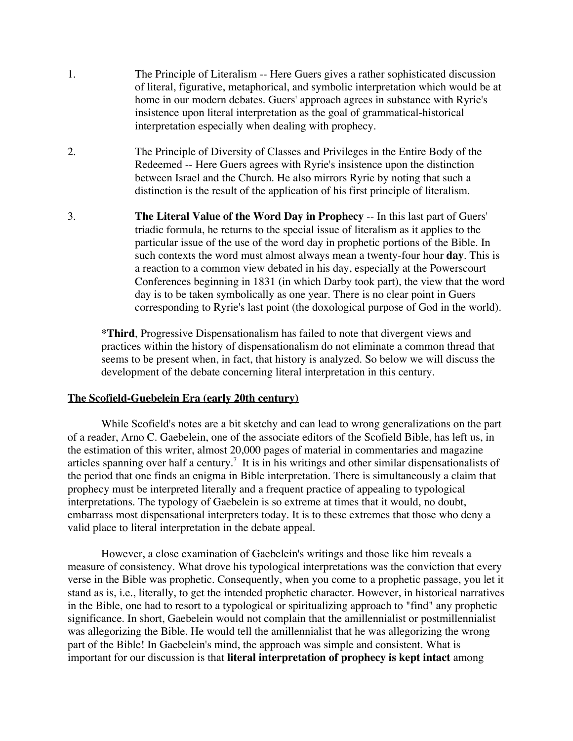- 1. The Principle of Literalism -- Here Guers gives a rather sophisticated discussion of literal, figurative, metaphorical, and symbolic interpretation which would be at home in our modern debates. Guers' approach agrees in substance with Ryrie's insistence upon literal interpretation as the goal of grammatical-historical interpretation especially when dealing with prophecy.
- 2. The Principle of Diversity of Classes and Privileges in the Entire Body of the Redeemed -- Here Guers agrees with Ryrie's insistence upon the distinction between Israel and the Church. He also mirrors Ryrie by noting that such a distinction is the result of the application of his first principle of literalism.
- 3. **The Literal Value of the Word Day in Prophecy** -- In this last part of Guers' triadic formula, he returns to the special issue of literalism as it applies to the particular issue of the use of the word day in prophetic portions of the Bible. In such contexts the word must almost always mean a twenty-four hour **day**. This is a reaction to a common view debated in his day, especially at the Powerscourt Conferences beginning in 1831 (in which Darby took part), the view that the word day is to be taken symbolically as one year. There is no clear point in Guers corresponding to Ryrie's last point (the doxological purpose of God in the world).

**\*Third**, Progressive Dispensationalism has failed to note that divergent views and practices within the history of dispensationalism do not eliminate a common thread that seems to be present when, in fact, that history is analyzed. So below we will discuss the development of the debate concerning literal interpretation in this century.

#### **The Scofield-Guebelein Era (early 20th century)**

While Scofield's notes are a bit sketchy and can lead to wrong generalizations on the part of a reader, Arno C. Gaebelein, one of the associate editors of the Scofield Bible, has left us, in the estimation of this writer, almost 20,000 pages of material in commentaries and magazine articles spanning over half a century.<sup>7</sup> It is in his writings and other similar dispensationalists of the period that one finds an enigma in Bible interpretation. There is simultaneously a claim that prophecy must be interpreted literally and a frequent practice of appealing to typological interpretations. The typology of Gaebelein is so extreme at times that it would, no doubt, embarrass most dispensational interpreters today. It is to these extremes that those who deny a valid place to literal interpretation in the debate appeal.

However, a close examination of Gaebelein's writings and those like him reveals a measure of consistency. What drove his typological interpretations was the conviction that every verse in the Bible was prophetic. Consequently, when you come to a prophetic passage, you let it stand as is, i.e., literally, to get the intended prophetic character. However, in historical narratives in the Bible, one had to resort to a typological or spiritualizing approach to "find" any prophetic significance. In short, Gaebelein would not complain that the amillennialist or postmillennialist was allegorizing the Bible. He would tell the amillennialist that he was allegorizing the wrong part of the Bible! In Gaebelein's mind, the approach was simple and consistent. What is important for our discussion is that **literal interpretation of prophecy is kept intact** among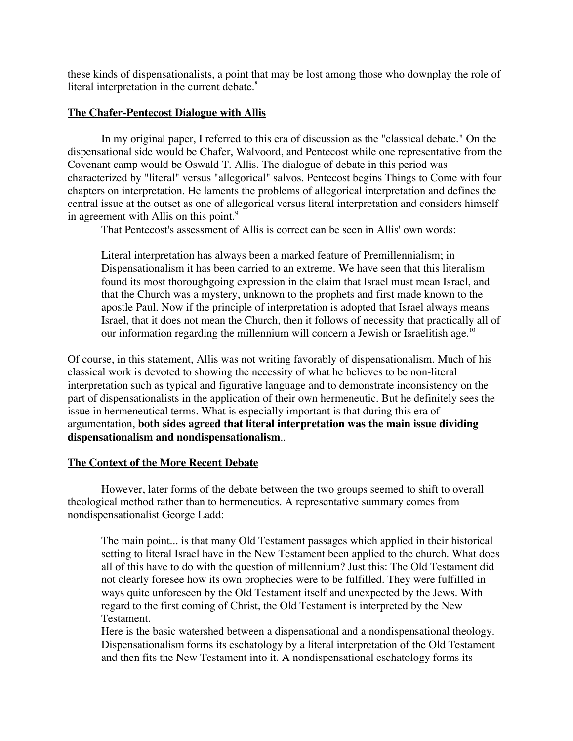these kinds of dispensationalists, a point that may be lost among those who downplay the role of literal interpretation in the current debate.<sup>8</sup>

## **The Chafer-Pentecost Dialogue with Allis**

In my original paper, I referred to this era of discussion as the "classical debate." On the dispensational side would be Chafer, Walvoord, and Pentecost while one representative from the Covenant camp would be Oswald T. Allis. The dialogue of debate in this period was characterized by "literal" versus "allegorical" salvos. Pentecost begins Things to Come with four chapters on interpretation. He laments the problems of allegorical interpretation and defines the central issue at the outset as one of allegorical versus literal interpretation and considers himself in agreement with Allis on this point.<sup>9</sup>

That Pentecost's assessment of Allis is correct can be seen in Allis' own words:

Literal interpretation has always been a marked feature of Premillennialism; in Dispensationalism it has been carried to an extreme. We have seen that this literalism found its most thoroughgoing expression in the claim that Israel must mean Israel, and that the Church was a mystery, unknown to the prophets and first made known to the apostle Paul. Now if the principle of interpretation is adopted that Israel always means Israel, that it does not mean the Church, then it follows of necessity that practically all of our information regarding the millennium will concern a Jewish or Israelitish age.<sup>10</sup>

Of course, in this statement, Allis was not writing favorably of dispensationalism. Much of his classical work is devoted to showing the necessity of what he believes to be non-literal interpretation such as typical and figurative language and to demonstrate inconsistency on the part of dispensationalists in the application of their own hermeneutic. But he definitely sees the issue in hermeneutical terms. What is especially important is that during this era of argumentation, **both sides agreed that literal interpretation was the main issue dividing dispensationalism and nondispensationalism**..

# **The Context of the More Recent Debate**

However, later forms of the debate between the two groups seemed to shift to overall theological method rather than to hermeneutics. A representative summary comes from nondispensationalist George Ladd:

The main point... is that many Old Testament passages which applied in their historical setting to literal Israel have in the New Testament been applied to the church. What does all of this have to do with the question of millennium? Just this: The Old Testament did not clearly foresee how its own prophecies were to be fulfilled. They were fulfilled in ways quite unforeseen by the Old Testament itself and unexpected by the Jews. With regard to the first coming of Christ, the Old Testament is interpreted by the New Testament.

Here is the basic watershed between a dispensational and a nondispensational theology. Dispensationalism forms its eschatology by a literal interpretation of the Old Testament and then fits the New Testament into it. A nondispensational eschatology forms its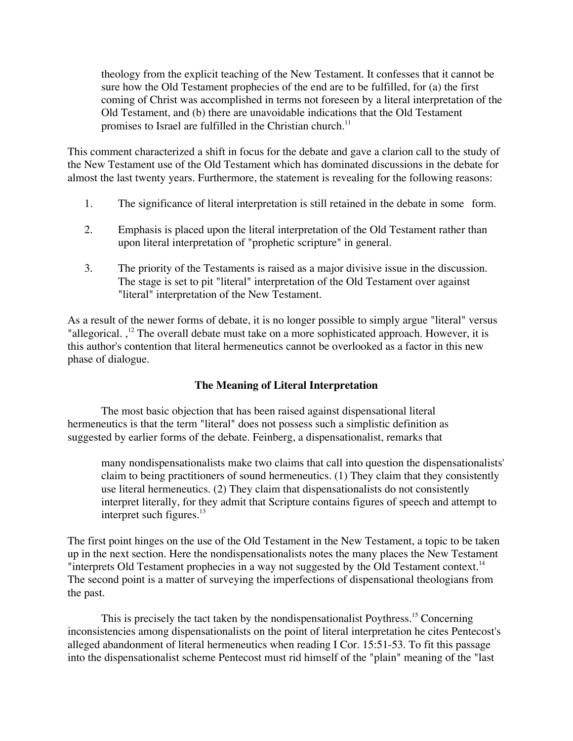theology from the explicit teaching of the New Testament. It confesses that it cannot be sure how the Old Testament prophecies of the end are to be fulfilled, for (a) the first coming of Christ was accomplished in terms not foreseen by a literal interpretation of the Old Testament, and (b) there are unavoidable indications that the Old Testament promises to Israel are fulfilled in the Christian church.<sup>11</sup>

This comment characterized a shift in focus for the debate and gave a clarion call to the study of the New Testament use of the Old Testament which has dominated discussions in the debate for almost the last twenty years. Furthermore, the statement is revealing for the following reasons:

- 1. The significance of literal interpretation is still retained in the debate in some form.
- 2. Emphasis is placed upon the literal interpretation of the Old Testament rather than upon literal interpretation of "prophetic scripture" in general.
- 3. The priority of the Testaments is raised as a major divisive issue in the discussion. The stage is set to pit "literal" interpretation of the Old Testament over against "literal" interpretation of the New Testament.

As a result of the newer forms of debate, it is no longer possible to simply argue "literal" versus "allegorical.,<sup>12</sup> The overall debate must take on a more sophisticated approach. However, it is this author's contention that literal hermeneutics cannot be overlooked as a factor in this new phase of dialogue.

### **The Meaning of Literal Interpretation**

The most basic objection that has been raised against dispensational literal hermeneutics is that the term "literal" does not possess such a simplistic definition as suggested by earlier forms of the debate. Feinberg, a dispensationalist, remarks that

many nondispensationalists make two claims that call into question the dispensationalists' claim to being practitioners of sound hermeneutics. (1) They claim that they consistently use literal hermeneutics. (2) They claim that dispensationalists do not consistently interpret literally, for they admit that Scripture contains figures of speech and attempt to interpret such figures. $^{13}$ 

The first point hinges on the use of the Old Testament in the New Testament, a topic to be taken up in the next section. Here the nondispensationalists notes the many places the New Testament "interprets Old Testament prophecies in a way not suggested by the Old Testament context.<sup>14</sup> The second point is a matter of surveying the imperfections of dispensational theologians from the past.

This is precisely the tact taken by the nondispensationalist Poythress.<sup>15</sup> Concerning inconsistencies among dispensationalists on the point of literal interpretation he cites Pentecost's alleged abandonment of literal hermeneutics when reading I Cor. 15:51-53. To fit this passage into the dispensationalist scheme Pentecost must rid himself of the "plain" meaning of the "last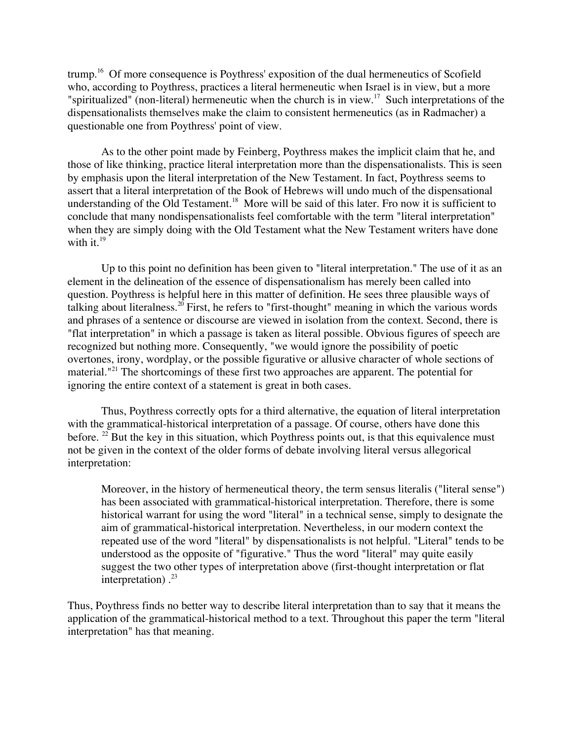trump.<sup>16</sup> Of more consequence is Poythress' exposition of the dual hermeneutics of Scofield who, according to Poythress, practices a literal hermeneutic when Israel is in view, but a more "spiritualized" (non-literal) hermeneutic when the church is in view.<sup>17</sup> Such interpretations of the dispensationalists themselves make the claim to consistent hermeneutics (as in Radmacher) a questionable one from Poythress' point of view.

As to the other point made by Feinberg, Poythress makes the implicit claim that he, and those of like thinking, practice literal interpretation more than the dispensationalists. This is seen by emphasis upon the literal interpretation of the New Testament. In fact, Poythress seems to assert that a literal interpretation of the Book of Hebrews will undo much of the dispensational understanding of the Old Testament.<sup>18</sup> More will be said of this later. Fro now it is sufficient to conclude that many nondispensationalists feel comfortable with the term "literal interpretation" when they are simply doing with the Old Testament what the New Testament writers have done with it. $19$ 

Up to this point no definition has been given to "literal interpretation." The use of it as an element in the delineation of the essence of dispensationalism has merely been called into question. Poythress is helpful here in this matter of definition. He sees three plausible ways of talking about literalness.<sup>20</sup> First, he refers to "first-thought" meaning in which the various words and phrases of a sentence or discourse are viewed in isolation from the context. Second, there is "flat interpretation" in which a passage is taken as literal possible. Obvious figures of speech are recognized but nothing more. Consequently, "we would ignore the possibility of poetic overtones, irony, wordplay, or the possible figurative or allusive character of whole sections of material."<sup>21</sup> The shortcomings of these first two approaches are apparent. The potential for ignoring the entire context of a statement is great in both cases.

Thus, Poythress correctly opts for a third alternative, the equation of literal interpretation with the grammatical-historical interpretation of a passage. Of course, others have done this before. <sup>22</sup> But the key in this situation, which Poythress points out, is that this equivalence must not be given in the context of the older forms of debate involving literal versus allegorical interpretation:

Moreover, in the history of hermeneutical theory, the term sensus literalis ("literal sense") has been associated with grammatical-historical interpretation. Therefore, there is some historical warrant for using the word "literal" in a technical sense, simply to designate the aim of grammatical-historical interpretation. Nevertheless, in our modern context the repeated use of the word "literal" by dispensationalists is not helpful. "Literal" tends to be understood as the opposite of "figurative." Thus the word "literal" may quite easily suggest the two other types of interpretation above (first-thought interpretation or flat interpretation). $^{23}$ 

Thus, Poythress finds no better way to describe literal interpretation than to say that it means the application of the grammatical-historical method to a text. Throughout this paper the term "literal interpretation" has that meaning.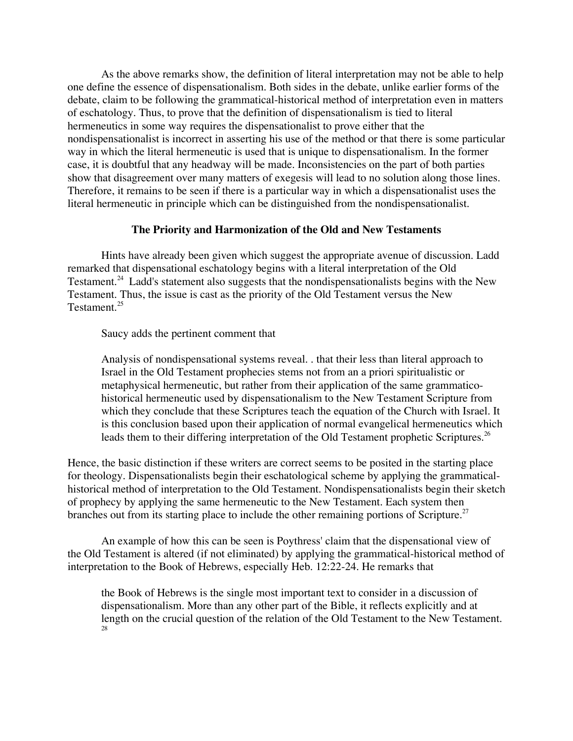As the above remarks show, the definition of literal interpretation may not be able to help one define the essence of dispensationalism. Both sides in the debate, unlike earlier forms of the debate, claim to be following the grammatical-historical method of interpretation even in matters of eschatology. Thus, to prove that the definition of dispensationalism is tied to literal hermeneutics in some way requires the dispensationalist to prove either that the nondispensationalist is incorrect in asserting his use of the method or that there is some particular way in which the literal hermeneutic is used that is unique to dispensationalism. In the former case, it is doubtful that any headway will be made. Inconsistencies on the part of both parties show that disagreement over many matters of exegesis will lead to no solution along those lines. Therefore, it remains to be seen if there is a particular way in which a dispensationalist uses the literal hermeneutic in principle which can be distinguished from the nondispensationalist.

#### **The Priority and Harmonization of the Old and New Testaments**

Hints have already been given which suggest the appropriate avenue of discussion. Ladd remarked that dispensational eschatology begins with a literal interpretation of the Old Testament.<sup>24</sup> Ladd's statement also suggests that the nondispensationalists begins with the New Testament. Thus, the issue is cast as the priority of the Old Testament versus the New Testament.<sup>25</sup>

Saucy adds the pertinent comment that

Analysis of nondispensational systems reveal. . that their less than literal approach to Israel in the Old Testament prophecies stems not from an a priori spiritualistic or metaphysical hermeneutic, but rather from their application of the same grammaticohistorical hermeneutic used by dispensationalism to the New Testament Scripture from which they conclude that these Scriptures teach the equation of the Church with Israel. It is this conclusion based upon their application of normal evangelical hermeneutics which leads them to their differing interpretation of the Old Testament prophetic Scriptures.<sup>26</sup>

Hence, the basic distinction if these writers are correct seems to be posited in the starting place for theology. Dispensationalists begin their eschatological scheme by applying the grammaticalhistorical method of interpretation to the Old Testament. Nondispensationalists begin their sketch of prophecy by applying the same hermeneutic to the New Testament. Each system then branches out from its starting place to include the other remaining portions of Scripture.<sup>27</sup>

An example of how this can be seen is Poythress' claim that the dispensational view of the Old Testament is altered (if not eliminated) by applying the grammatical-historical method of interpretation to the Book of Hebrews, especially Heb. 12:22-24. He remarks that

the Book of Hebrews is the single most important text to consider in a discussion of dispensationalism. More than any other part of the Bible, it reflects explicitly and at length on the crucial question of the relation of the Old Testament to the New Testament. 28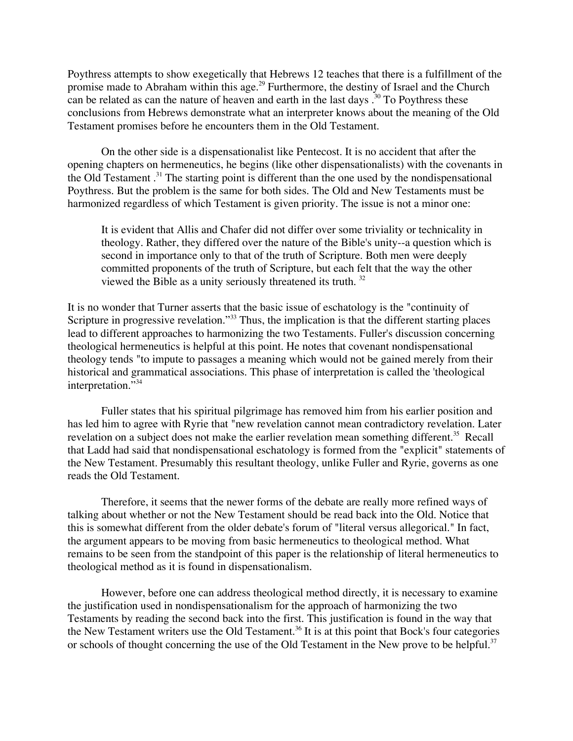Poythress attempts to show exegetically that Hebrews 12 teaches that there is a fulfillment of the promise made to Abraham within this age.<sup>29</sup> Furthermore, the destiny of Israel and the Church can be related as can the nature of heaven and earth in the last days  $.^{30}$  To Poythress these conclusions from Hebrews demonstrate what an interpreter knows about the meaning of the Old Testament promises before he encounters them in the Old Testament.

On the other side is a dispensationalist like Pentecost. It is no accident that after the opening chapters on hermeneutics, he begins (like other dispensationalists) with the covenants in the Old Testament.<sup>31</sup> The starting point is different than the one used by the nondispensational Poythress. But the problem is the same for both sides. The Old and New Testaments must be harmonized regardless of which Testament is given priority. The issue is not a minor one:

It is evident that Allis and Chafer did not differ over some triviality or technicality in theology. Rather, they differed over the nature of the Bible's unity--a question which is second in importance only to that of the truth of Scripture. Both men were deeply committed proponents of the truth of Scripture, but each felt that the way the other viewed the Bible as a unity seriously threatened its truth. 32

It is no wonder that Turner asserts that the basic issue of eschatology is the "continuity of Scripture in progressive revelation."<sup>33</sup> Thus, the implication is that the different starting places lead to different approaches to harmonizing the two Testaments. Fuller's discussion concerning theological hermeneutics is helpful at this point. He notes that covenant nondispensational theology tends "to impute to passages a meaning which would not be gained merely from their historical and grammatical associations. This phase of interpretation is called the 'theological interpretation."<sup>34</sup>

Fuller states that his spiritual pilgrimage has removed him from his earlier position and has led him to agree with Ryrie that "new revelation cannot mean contradictory revelation. Later revelation on a subject does not make the earlier revelation mean something different.<sup>35</sup> Recall that Ladd had said that nondispensational eschatology is formed from the "explicit" statements of the New Testament. Presumably this resultant theology, unlike Fuller and Ryrie, governs as one reads the Old Testament.

Therefore, it seems that the newer forms of the debate are really more refined ways of talking about whether or not the New Testament should be read back into the Old. Notice that this is somewhat different from the older debate's forum of "literal versus allegorical." In fact, the argument appears to be moving from basic hermeneutics to theological method. What remains to be seen from the standpoint of this paper is the relationship of literal hermeneutics to theological method as it is found in dispensationalism.

However, before one can address theological method directly, it is necessary to examine the justification used in nondispensationalism for the approach of harmonizing the two Testaments by reading the second back into the first. This justification is found in the way that the New Testament writers use the Old Testament.<sup>36</sup> It is at this point that Bock's four categories or schools of thought concerning the use of the Old Testament in the New prove to be helpful.<sup>37</sup>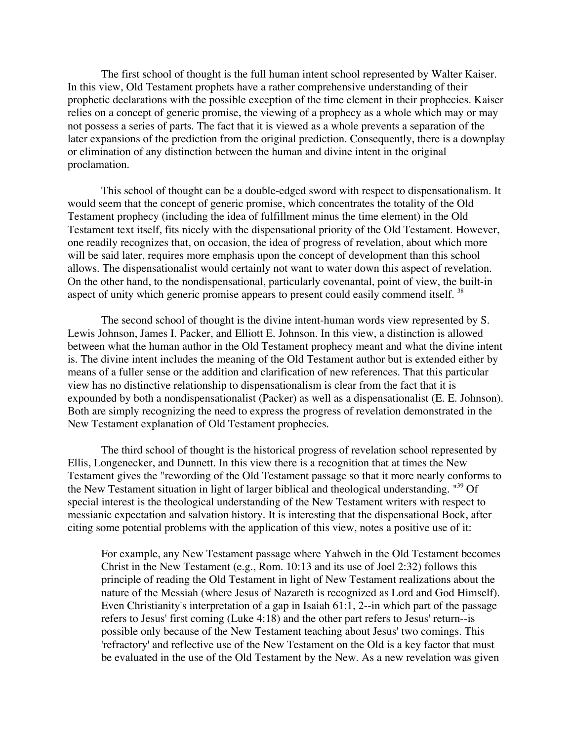The first school of thought is the full human intent school represented by Walter Kaiser. In this view, Old Testament prophets have a rather comprehensive understanding of their prophetic declarations with the possible exception of the time element in their prophecies. Kaiser relies on a concept of generic promise, the viewing of a prophecy as a whole which may or may not possess a series of parts. The fact that it is viewed as a whole prevents a separation of the later expansions of the prediction from the original prediction. Consequently, there is a downplay or elimination of any distinction between the human and divine intent in the original proclamation.

This school of thought can be a double-edged sword with respect to dispensationalism. It would seem that the concept of generic promise, which concentrates the totality of the Old Testament prophecy (including the idea of fulfillment minus the time element) in the Old Testament text itself, fits nicely with the dispensational priority of the Old Testament. However, one readily recognizes that, on occasion, the idea of progress of revelation, about which more will be said later, requires more emphasis upon the concept of development than this school allows. The dispensationalist would certainly not want to water down this aspect of revelation. On the other hand, to the nondispensational, particularly covenantal, point of view, the built-in aspect of unity which generic promise appears to present could easily commend itself. <sup>38</sup>

The second school of thought is the divine intent-human words view represented by S. Lewis Johnson, James I. Packer, and Elliott E. Johnson. In this view, a distinction is allowed between what the human author in the Old Testament prophecy meant and what the divine intent is. The divine intent includes the meaning of the Old Testament author but is extended either by means of a fuller sense or the addition and clarification of new references. That this particular view has no distinctive relationship to dispensationalism is clear from the fact that it is expounded by both a nondispensationalist (Packer) as well as a dispensationalist (E. E. Johnson). Both are simply recognizing the need to express the progress of revelation demonstrated in the New Testament explanation of Old Testament prophecies.

The third school of thought is the historical progress of revelation school represented by Ellis, Longenecker, and Dunnett. In this view there is a recognition that at times the New Testament gives the "rewording of the Old Testament passage so that it more nearly conforms to the New Testament situation in light of larger biblical and theological understanding. "<sup>39</sup> Of special interest is the theological understanding of the New Testament writers with respect to messianic expectation and salvation history. It is interesting that the dispensational Bock, after citing some potential problems with the application of this view, notes a positive use of it:

For example, any New Testament passage where Yahweh in the Old Testament becomes Christ in the New Testament (e.g., Rom. 10:13 and its use of Joel 2:32) follows this principle of reading the Old Testament in light of New Testament realizations about the nature of the Messiah (where Jesus of Nazareth is recognized as Lord and God Himself). Even Christianity's interpretation of a gap in Isaiah 61:1, 2--in which part of the passage refers to Jesus' first coming (Luke 4:18) and the other part refers to Jesus' return--is possible only because of the New Testament teaching about Jesus' two comings. This 'refractory' and reflective use of the New Testament on the Old is a key factor that must be evaluated in the use of the Old Testament by the New. As a new revelation was given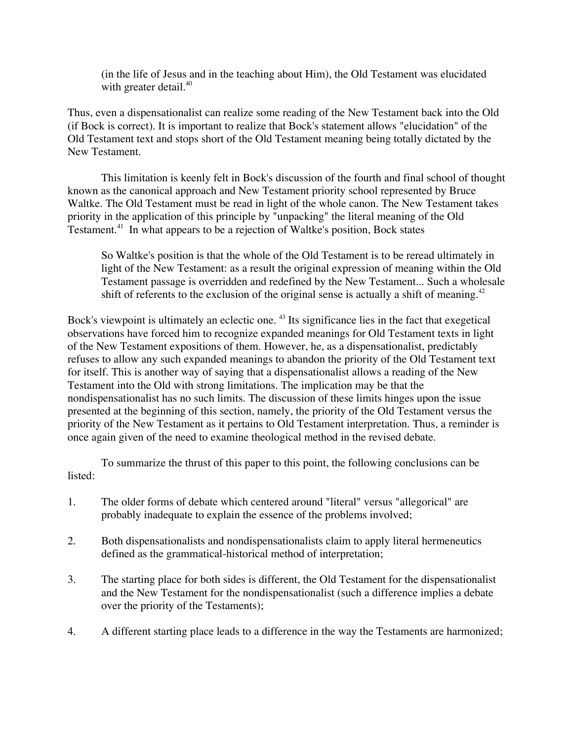(in the life of Jesus and in the teaching about Him), the Old Testament was elucidated with greater detail.<sup>40</sup>

Thus, even a dispensationalist can realize some reading of the New Testament back into the Old (if Bock is correct). It is important to realize that Bock's statement allows "elucidation" of the Old Testament text and stops short of the Old Testament meaning being totally dictated by the New Testament.

This limitation is keenly felt in Bock's discussion of the fourth and final school of thought known as the canonical approach and New Testament priority school represented by Bruce Waltke. The Old Testament must be read in light of the whole canon. The New Testament takes priority in the application of this principle by "unpacking" the literal meaning of the Old Testament.<sup>41</sup> In what appears to be a rejection of Waltke's position, Bock states

So Waltke's position is that the whole of the Old Testament is to be reread ultimately in light of the New Testament: as a result the original expression of meaning within the Old Testament passage is overridden and redefined by the New Testament... Such a wholesale shift of referents to the exclusion of the original sense is actually a shift of meaning.<sup>42</sup>

Bock's viewpoint is ultimately an eclectic one. <sup>43</sup> Its significance lies in the fact that exegetical observations have forced him to recognize expanded meanings for Old Testament texts in light of the New Testament expositions of them. However, he, as a dispensationalist, predictably refuses to allow any such expanded meanings to abandon the priority of the Old Testament text for itself. This is another way of saying that a dispensationalist allows a reading of the New Testament into the Old with strong limitations. The implication may be that the nondispensationalist has no such limits. The discussion of these limits hinges upon the issue presented at the beginning of this section, namely, the priority of the Old Testament versus the priority of the New Testament as it pertains to Old Testament interpretation. Thus, a reminder is once again given of the need to examine theological method in the revised debate.

To summarize the thrust of this paper to this point, the following conclusions can be listed:

- 1. The older forms of debate which centered around "literal" versus "allegorical" are probably inadequate to explain the essence of the problems involved;
- 2. Both dispensationalists and nondispensationalists claim to apply literal hermeneutics defined as the grammatical-historical method of interpretation;
- 3. The starting place for both sides is different, the Old Testament for the dispensationalist and the New Testament for the nondispensationalist (such a difference implies a debate over the priority of the Testaments);
- 4. A different starting place leads to a difference in the way the Testaments are harmonized;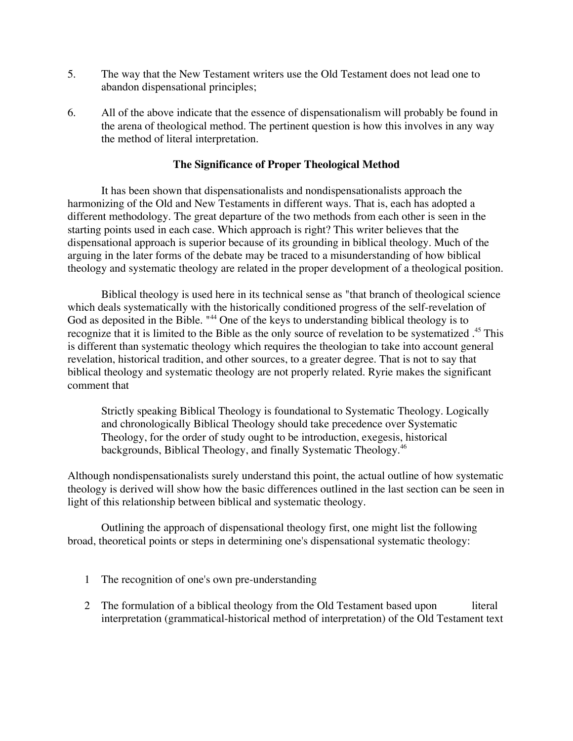- 5. The way that the New Testament writers use the Old Testament does not lead one to abandon dispensational principles;
- 6. All of the above indicate that the essence of dispensationalism will probably be found in the arena of theological method. The pertinent question is how this involves in any way the method of literal interpretation.

### **The Significance of Proper Theological Method**

It has been shown that dispensationalists and nondispensationalists approach the harmonizing of the Old and New Testaments in different ways. That is, each has adopted a different methodology. The great departure of the two methods from each other is seen in the starting points used in each case. Which approach is right? This writer believes that the dispensational approach is superior because of its grounding in biblical theology. Much of the arguing in the later forms of the debate may be traced to a misunderstanding of how biblical theology and systematic theology are related in the proper development of a theological position.

Biblical theology is used here in its technical sense as "that branch of theological science which deals systematically with the historically conditioned progress of the self-revelation of God as deposited in the Bible. "<sup>44</sup> One of the keys to understanding biblical theology is to recognize that it is limited to the Bible as the only source of revelation to be systematized.<sup>45</sup> This is different than systematic theology which requires the theologian to take into account general revelation, historical tradition, and other sources, to a greater degree. That is not to say that biblical theology and systematic theology are not properly related. Ryrie makes the significant comment that

Strictly speaking Biblical Theology is foundational to Systematic Theology. Logically and chronologically Biblical Theology should take precedence over Systematic Theology, for the order of study ought to be introduction, exegesis, historical backgrounds, Biblical Theology, and finally Systematic Theology.<sup>46</sup>

Although nondispensationalists surely understand this point, the actual outline of how systematic theology is derived will show how the basic differences outlined in the last section can be seen in light of this relationship between biblical and systematic theology.

Outlining the approach of dispensational theology first, one might list the following broad, theoretical points or steps in determining one's dispensational systematic theology:

- 1 The recognition of one's own pre-understanding
- 2 The formulation of a biblical theology from the Old Testament based upon literal interpretation (grammatical-historical method of interpretation) of the Old Testament text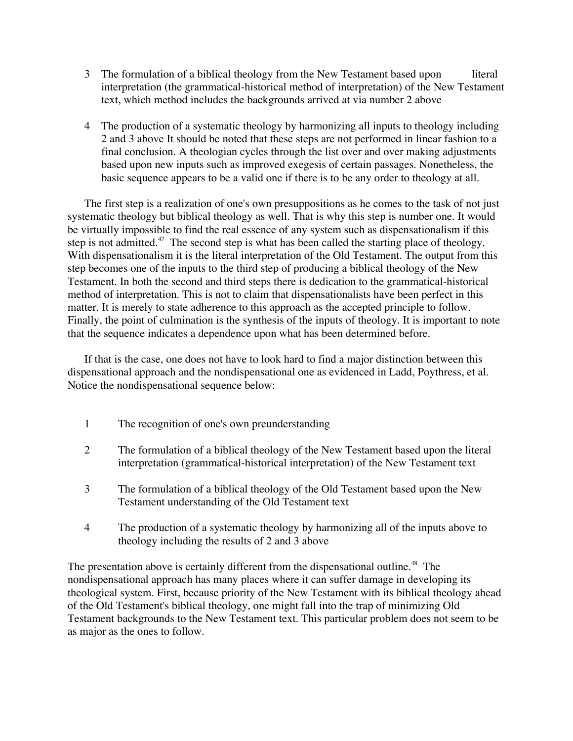- 3 The formulation of a biblical theology from the New Testament based upon literal interpretation (the grammatical-historical method of interpretation) of the New Testament text, which method includes the backgrounds arrived at via number 2 above
- 4 The production of a systematic theology by harmonizing all inputs to theology including 2 and 3 above It should be noted that these steps are not performed in linear fashion to a final conclusion. A theologian cycles through the list over and over making adjustments based upon new inputs such as improved exegesis of certain passages. Nonetheless, the basic sequence appears to be a valid one if there is to be any order to theology at all.

The first step is a realization of one's own presuppositions as he comes to the task of not just systematic theology but biblical theology as well. That is why this step is number one. It would be virtually impossible to find the real essence of any system such as dispensationalism if this step is not admitted.<sup>47</sup> The second step is what has been called the starting place of theology. With dispensationalism it is the literal interpretation of the Old Testament. The output from this step becomes one of the inputs to the third step of producing a biblical theology of the New Testament. In both the second and third steps there is dedication to the grammatical-historical method of interpretation. This is not to claim that dispensationalists have been perfect in this matter. It is merely to state adherence to this approach as the accepted principle to follow. Finally, the point of culmination is the synthesis of the inputs of theology. It is important to note that the sequence indicates a dependence upon what has been determined before.

If that is the case, one does not have to look hard to find a major distinction between this dispensational approach and the nondispensational one as evidenced in Ladd, Poythress, et al. Notice the nondispensational sequence below:

- 1 The recognition of one's own preunderstanding
- 2 The formulation of a biblical theology of the New Testament based upon the literal interpretation (grammatical-historical interpretation) of the New Testament text
- 3 The formulation of a biblical theology of the Old Testament based upon the New Testament understanding of the Old Testament text
- 4 The production of a systematic theology by harmonizing all of the inputs above to theology including the results of 2 and 3 above

The presentation above is certainly different from the dispensational outline.<sup>48</sup> The nondispensational approach has many places where it can suffer damage in developing its theological system. First, because priority of the New Testament with its biblical theology ahead of the Old Testament's biblical theology, one might fall into the trap of minimizing Old Testament backgrounds to the New Testament text. This particular problem does not seem to be as major as the ones to follow.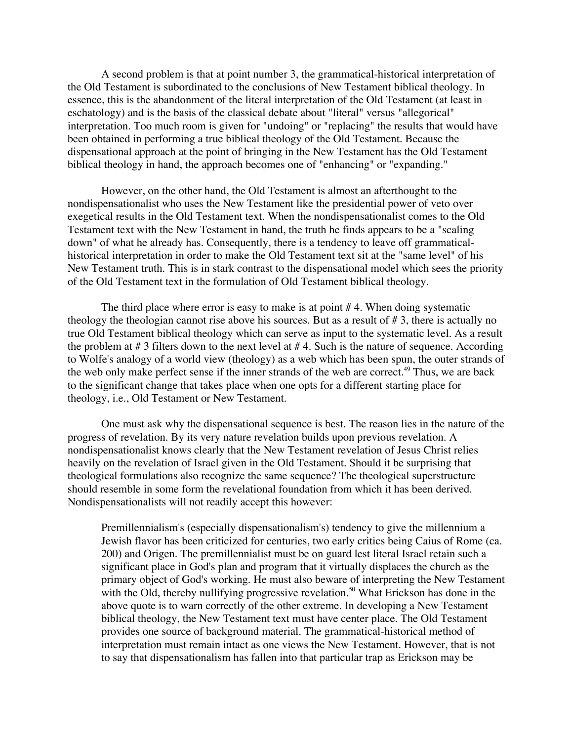A second problem is that at point number 3, the grammatical-historical interpretation of the Old Testament is subordinated to the conclusions of New Testament biblical theology. In essence, this is the abandonment of the literal interpretation of the Old Testament (at least in eschatology) and is the basis of the classical debate about "literal" versus "allegorical" interpretation. Too much room is given for "undoing" or "replacing" the results that would have been obtained in performing a true biblical theology of the Old Testament. Because the dispensational approach at the point of bringing in the New Testament has the Old Testament biblical theology in hand, the approach becomes one of "enhancing" or "expanding."

However, on the other hand, the Old Testament is almost an afterthought to the nondispensationalist who uses the New Testament like the presidential power of veto over exegetical results in the Old Testament text. When the nondispensationalist comes to the Old Testament text with the New Testament in hand, the truth he finds appears to be a "scaling down" of what he already has. Consequently, there is a tendency to leave off grammaticalhistorical interpretation in order to make the Old Testament text sit at the "same level" of his New Testament truth. This is in stark contrast to the dispensational model which sees the priority of the Old Testament text in the formulation of Old Testament biblical theology.

The third place where error is easy to make is at point # 4. When doing systematic theology the theologian cannot rise above his sources. But as a result of # 3, there is actually no true Old Testament biblical theology which can serve as input to the systematic level. As a result the problem at  $# 3$  filters down to the next level at  $# 4$ . Such is the nature of sequence. According to Wolfe's analogy of a world view (theology) as a web which has been spun, the outer strands of the web only make perfect sense if the inner strands of the web are correct.<sup>49</sup> Thus, we are back to the significant change that takes place when one opts for a different starting place for theology, i.e., Old Testament or New Testament.

One must ask why the dispensational sequence is best. The reason lies in the nature of the progress of revelation. By its very nature revelation builds upon previous revelation. A nondispensationalist knows clearly that the New Testament revelation of Jesus Christ relies heavily on the revelation of Israel given in the Old Testament. Should it be surprising that theological formulations also recognize the same sequence? The theological superstructure should resemble in some form the revelational foundation from which it has been derived. Nondispensationalists will not readily accept this however:

Premillennialism's (especially dispensationalism's) tendency to give the millennium a Jewish flavor has been criticized for centuries, two early critics being Caius of Rome (ca. 200) and Origen. The premillennialist must be on guard lest literal Israel retain such a significant place in God's plan and program that it virtually displaces the church as the primary object of God's working. He must also beware of interpreting the New Testament with the Old, thereby nullifying progressive revelation.<sup>50</sup> What Erickson has done in the above quote is to warn correctly of the other extreme. In developing a New Testament biblical theology, the New Testament text must have center place. The Old Testament provides one source of background material. The grammatical-historical method of interpretation must remain intact as one views the New Testament. However, that is not to say that dispensationalism has fallen into that particular trap as Erickson may be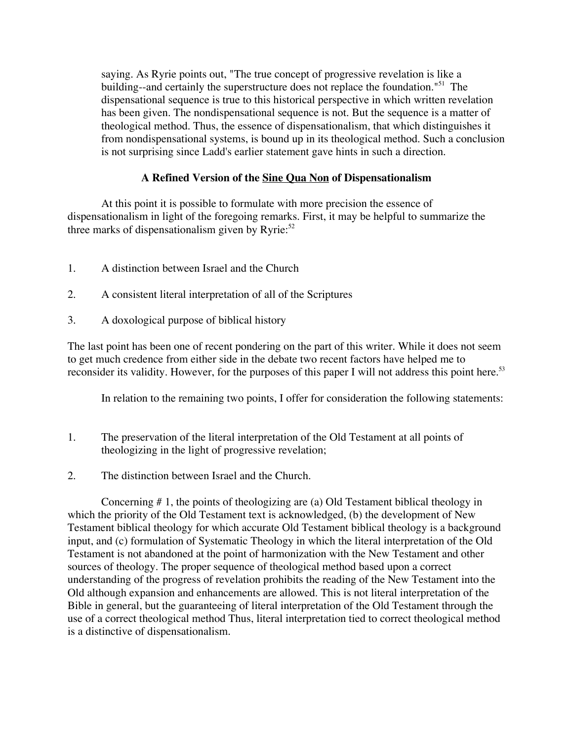saying. As Ryrie points out, "The true concept of progressive revelation is like a building--and certainly the superstructure does not replace the foundation."<sup>51</sup> The dispensational sequence is true to this historical perspective in which written revelation has been given. The nondispensational sequence is not. But the sequence is a matter of theological method. Thus, the essence of dispensationalism, that which distinguishes it from nondispensational systems, is bound up in its theological method. Such a conclusion is not surprising since Ladd's earlier statement gave hints in such a direction.

# **A Refined Version of the Sine Qua Non of Dispensationalism**

At this point it is possible to formulate with more precision the essence of dispensationalism in light of the foregoing remarks. First, it may be helpful to summarize the three marks of dispensationalism given by Ryrie: $52$ 

- 1. A distinction between Israel and the Church
- 2. A consistent literal interpretation of all of the Scriptures
- 3. A doxological purpose of biblical history

The last point has been one of recent pondering on the part of this writer. While it does not seem to get much credence from either side in the debate two recent factors have helped me to reconsider its validity. However, for the purposes of this paper I will not address this point here.<sup>53</sup>

In relation to the remaining two points, I offer for consideration the following statements:

- 1. The preservation of the literal interpretation of the Old Testament at all points of theologizing in the light of progressive revelation;
- 2. The distinction between Israel and the Church.

Concerning # 1, the points of theologizing are (a) Old Testament biblical theology in which the priority of the Old Testament text is acknowledged, (b) the development of New Testament biblical theology for which accurate Old Testament biblical theology is a background input, and (c) formulation of Systematic Theology in which the literal interpretation of the Old Testament is not abandoned at the point of harmonization with the New Testament and other sources of theology. The proper sequence of theological method based upon a correct understanding of the progress of revelation prohibits the reading of the New Testament into the Old although expansion and enhancements are allowed. This is not literal interpretation of the Bible in general, but the guaranteeing of literal interpretation of the Old Testament through the use of a correct theological method Thus, literal interpretation tied to correct theological method is a distinctive of dispensationalism.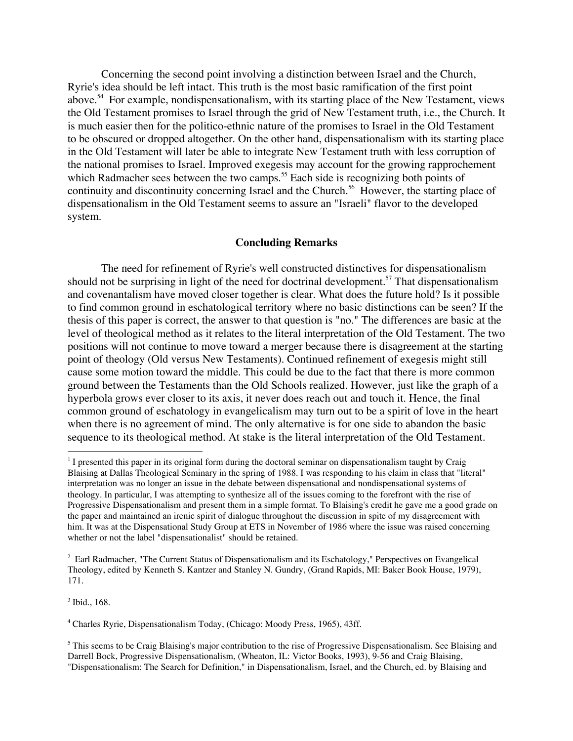Concerning the second point involving a distinction between Israel and the Church, Ryrie's idea should be left intact. This truth is the most basic ramification of the first point above.<sup>54</sup> For example, nondispensationalism, with its starting place of the New Testament, views the Old Testament promises to Israel through the grid of New Testament truth, i.e., the Church. It is much easier then for the politico-ethnic nature of the promises to Israel in the Old Testament to be obscured or dropped altogether. On the other hand, dispensationalism with its starting place in the Old Testament will later be able to integrate New Testament truth with less corruption of the national promises to Israel. Improved exegesis may account for the growing rapprochement which Radmacher sees between the two camps.<sup>55</sup> Each side is recognizing both points of continuity and discontinuity concerning Israel and the Church.<sup>56</sup> However, the starting place of dispensationalism in the Old Testament seems to assure an "Israeli" flavor to the developed system.

#### **Concluding Remarks**

The need for refinement of Ryrie's well constructed distinctives for dispensationalism should not be surprising in light of the need for doctrinal development.<sup>57</sup> That dispensationalism and covenantalism have moved closer together is clear. What does the future hold? Is it possible to find common ground in eschatological territory where no basic distinctions can be seen? If the thesis of this paper is correct, the answer to that question is "no." The differences are basic at the level of theological method as it relates to the literal interpretation of the Old Testament. The two positions will not continue to move toward a merger because there is disagreement at the starting point of theology (Old versus New Testaments). Continued refinement of exegesis might still cause some motion toward the middle. This could be due to the fact that there is more common ground between the Testaments than the Old Schools realized. However, just like the graph of a hyperbola grows ever closer to its axis, it never does reach out and touch it. Hence, the final common ground of eschatology in evangelicalism may turn out to be a spirit of love in the heart when there is no agreement of mind. The only alternative is for one side to abandon the basic sequence to its theological method. At stake is the literal interpretation of the Old Testament.

3 Ibid., 168.

 $\frac{1}{1}$ <sup>1</sup> I presented this paper in its original form during the doctoral seminar on dispensationalism taught by Craig Blaising at Dallas Theological Seminary in the spring of 1988. I was responding to his claim in class that "literal" interpretation was no longer an issue in the debate between dispensational and nondispensational systems of theology. In particular, I was attempting to synthesize all of the issues coming to the forefront with the rise of Progressive Dispensationalism and present them in a simple format. To Blaising's credit he gave me a good grade on the paper and maintained an irenic spirit of dialogue throughout the discussion in spite of my disagreement with him. It was at the Dispensational Study Group at ETS in November of 1986 where the issue was raised concerning whether or not the label "dispensationalist" should be retained.

<sup>&</sup>lt;sup>2</sup> Earl Radmacher, "The Current Status of Dispensationalism and its Eschatology," Perspectives on Evangelical Theology, edited by Kenneth S. Kantzer and Stanley N. Gundry, (Grand Rapids, MI: Baker Book House, 1979), 171.

<sup>4</sup> Charles Ryrie, Dispensationalism Today, (Chicago: Moody Press, 1965), 43ff.

<sup>&</sup>lt;sup>5</sup> This seems to be Craig Blaising's major contribution to the rise of Progressive Dispensationalism. See Blaising and Darrell Bock, Progressive Dispensationalism, (Wheaton, IL: Victor Books, 1993), 9-56 and Craig Blaising, "Dispensationalism: The Search for Definition," in Dispensationalism, Israel, and the Church, ed. by Blaising and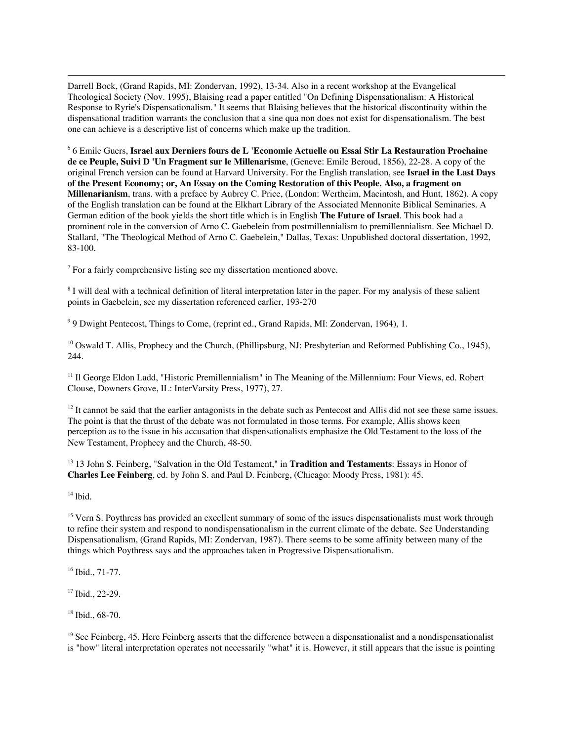Darrell Bock, (Grand Rapids, MI: Zondervan, 1992), 13-34. Also in a recent workshop at the Evangelical Theological Society (Nov. 1995), Blaising read a paper entitled "On Defining Dispensationalism: A Historical Response to Ryrie's Dispensationalism." It seems that Blaising believes that the historical discontinuity within the dispensational tradition warrants the conclusion that a sine qua non does not exist for dispensationalism. The best one can achieve is a descriptive list of concerns which make up the tradition.

6 6 Emile Guers, **Israel aux Derniers fours de L 'Economie Actuelle ou Essai Stir La Restauration Prochaine de ce Peuple, Suivi D 'Un Fragment sur le Millenarisme**, (Geneve: Emile Beroud, 1856), 22-28. A copy of the original French version can be found at Harvard University. For the English translation, see **Israel in the Last Days of the Present Economy; or, An Essay on the Coming Restoration of this People. Also, a fragment on Millenarianism**, trans. with a preface by Aubrey C. Price, (London: Wertheim, Macintosh, and Hunt, 1862). A copy of the English translation can be found at the Elkhart Library of the Associated Mennonite Biblical Seminaries. A German edition of the book yields the short title which is in English **The Future of Israel**. This book had a prominent role in the conversion of Arno C. Gaebelein from postmillennialism to premillennialism. See Michael D. Stallard, "The Theological Method of Arno C. Gaebelein," Dallas, Texas: Unpublished doctoral dissertation, 1992, 83-100.

 $7$  For a fairly comprehensive listing see my dissertation mentioned above.

<sup>8</sup> I will deal with a technical definition of literal interpretation later in the paper. For my analysis of these salient points in Gaebelein, see my dissertation referenced earlier, 193-270

<sup>9</sup> 9 Dwight Pentecost, Things to Come, (reprint ed., Grand Rapids, MI: Zondervan, 1964), 1.

<sup>10</sup> Oswald T. Allis, Prophecy and the Church, (Phillipsburg, NJ: Presbyterian and Reformed Publishing Co., 1945), 244.

<sup>11</sup> Il George Eldon Ladd, "Historic Premillennialism" in The Meaning of the Millennium: Four Views, ed. Robert Clouse, Downers Grove, IL: InterVarsity Press, 1977), 27.

 $12$  It cannot be said that the earlier antagonists in the debate such as Pentecost and Allis did not see these same issues. The point is that the thrust of the debate was not formulated in those terms. For example, Allis shows keen perception as to the issue in his accusation that dispensationalists emphasize the Old Testament to the loss of the New Testament, Prophecy and the Church, 48-50.

<sup>13</sup> 13 John S. Feinberg, "Salvation in the Old Testament," in Tradition and Testaments: Essays in Honor of **Charles Lee Feinberg**, ed. by John S. and Paul D. Feinberg, (Chicago: Moody Press, 1981): 45.

14 lbid.

-

<sup>15</sup> Vern S. Poythress has provided an excellent summary of some of the issues dispensationalists must work through to refine their system and respond to nondispensationalism in the current climate of the debate. See Understanding Dispensationalism, (Grand Rapids, MI: Zondervan, 1987). There seems to be some affinity between many of the things which Poythress says and the approaches taken in Progressive Dispensationalism.

16 Ibid., 71-77.

17 Ibid., 22-29.

18 Ibid., 68-70.

<sup>19</sup> See Feinberg, 45. Here Feinberg asserts that the difference between a dispensationalist and a nondispensationalist is "how" literal interpretation operates not necessarily "what" it is. However, it still appears that the issue is pointing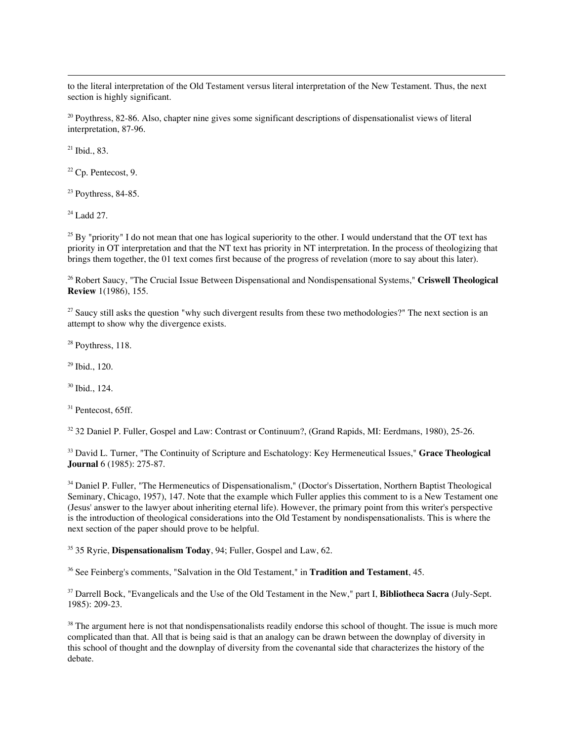to the literal interpretation of the Old Testament versus literal interpretation of the New Testament. Thus, the next section is highly significant.

<sup>20</sup> Poythress, 82-86. Also, chapter nine gives some significant descriptions of dispensationalist views of literal interpretation, 87-96.

21 Ibid., 83.

-

 $22$  Cp. Pentecost, 9.

 $23$  Poythress, 84-85.

 $24$  Ladd 27.

<sup>25</sup> By "priority" I do not mean that one has logical superiority to the other. I would understand that the OT text has priority in OT interpretation and that the NT text has priority in NT interpretation. In the process of theologizing that brings them together, the 01 text comes first because of the progress of revelation (more to say about this later).

26 Robert Saucy, "The Crucial Issue Between Dispensational and Nondispensational Systems," **Criswell Theological Review** 1(1986), 155.

<sup>27</sup> Saucy still asks the question "why such divergent results from these two methodologies?" The next section is an attempt to show why the divergence exists.

 $28$  Poythress, 118.

29 Ibid., 120.

30 Ibid., 124.

31 Pentecost, 65ff.

<sup>32</sup> 32 Daniel P. Fuller, Gospel and Law: Contrast or Continuum?, (Grand Rapids, MI: Eerdmans, 1980), 25-26.

33 David L. Turner, "The Continuity of Scripture and Eschatology: Key Hermeneutical Issues," **Grace Theological Journal** 6 (1985): 275-87.

<sup>34</sup> Daniel P. Fuller, "The Hermeneutics of Dispensationalism," (Doctor's Dissertation, Northern Baptist Theological Seminary, Chicago, 1957), 147. Note that the example which Fuller applies this comment to is a New Testament one (Jesus' answer to the lawyer about inheriting eternal life). However, the primary point from this writer's perspective is the introduction of theological considerations into the Old Testament by nondispensationalists. This is where the next section of the paper should prove to be helpful.

35 35 Ryrie, **Dispensationalism Today**, 94; Fuller, Gospel and Law, 62.

36 See Feinberg's comments, "Salvation in the Old Testament," in **Tradition and Testament**, 45.

37 Darrell Bock, "Evangelicals and the Use of the Old Testament in the New," part I, **Bibliotheca Sacra** (July-Sept. 1985): 209-23.

<sup>38</sup> The argument here is not that nondispensationalists readily endorse this school of thought. The issue is much more complicated than that. All that is being said is that an analogy can be drawn between the downplay of diversity in this school of thought and the downplay of diversity from the covenantal side that characterizes the history of the debate.